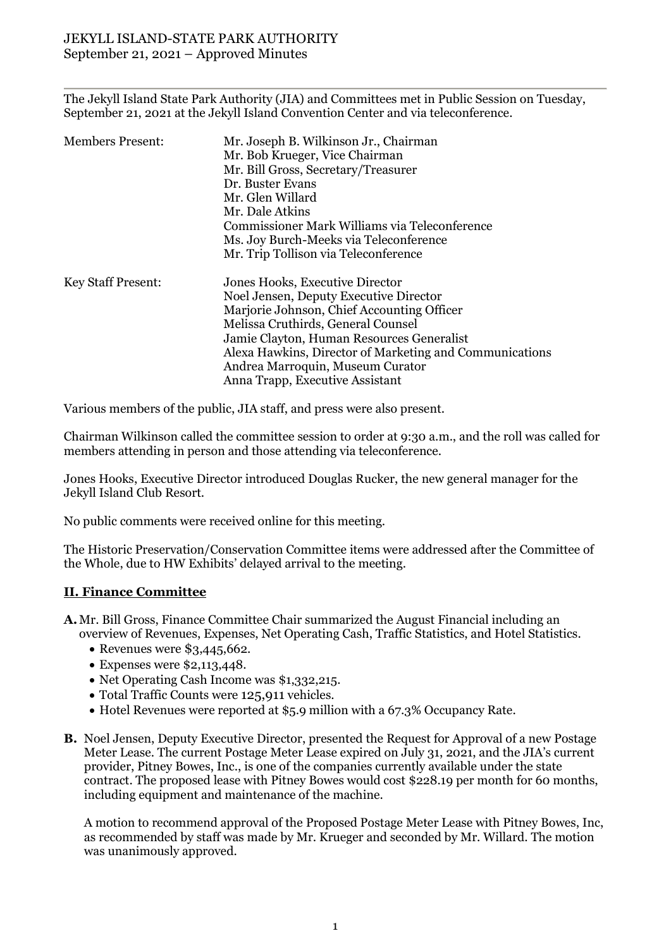The Jekyll Island State Park Authority (JIA) and Committees met in Public Session on Tuesday, September 21, 2021 at the Jekyll Island Convention Center and via teleconference.

| <b>Members Present:</b>   | Mr. Joseph B. Wilkinson Jr., Chairman<br>Mr. Bob Krueger, Vice Chairman<br>Mr. Bill Gross, Secretary/Treasurer<br>Dr. Buster Evans<br>Mr. Glen Willard                                                                                                                                                                                       |
|---------------------------|----------------------------------------------------------------------------------------------------------------------------------------------------------------------------------------------------------------------------------------------------------------------------------------------------------------------------------------------|
|                           | Mr. Dale Atkins<br>Commissioner Mark Williams via Teleconference<br>Ms. Joy Burch-Meeks via Teleconference<br>Mr. Trip Tollison via Teleconference                                                                                                                                                                                           |
| <b>Key Staff Present:</b> | Jones Hooks, Executive Director<br>Noel Jensen, Deputy Executive Director<br>Marjorie Johnson, Chief Accounting Officer<br>Melissa Cruthirds, General Counsel<br>Jamie Clayton, Human Resources Generalist<br>Alexa Hawkins, Director of Marketing and Communications<br>Andrea Marroquin, Museum Curator<br>Anna Trapp, Executive Assistant |

Various members of the public, JIA staff, and press were also present.

Chairman Wilkinson called the committee session to order at 9:30 a.m., and the roll was called for members attending in person and those attending via teleconference.

Jones Hooks, Executive Director introduced Douglas Rucker, the new general manager for the Jekyll Island Club Resort.

No public comments were received online for this meeting.

The Historic Preservation/Conservation Committee items were addressed after the Committee of the Whole, due to HW Exhibits' delayed arrival to the meeting.

#### **II. Finance Committee**

**A.**Mr. Bill Gross, Finance Committee Chair summarized the August Financial including an overview of Revenues, Expenses, Net Operating Cash, Traffic Statistics, and Hotel Statistics.

- Revenues were \$3,445,662.
- Expenses were \$2,113,448.
- Net Operating Cash Income was \$1,332,215.
- Total Traffic Counts were 125,911 vehicles.
- Hotel Revenues were reported at \$5.9 million with a 67.3% Occupancy Rate.
- **B.** Noel Jensen, Deputy Executive Director, presented the Request for Approval of a new Postage Meter Lease. The current Postage Meter Lease expired on July 31, 2021, and the JIA's current provider, Pitney Bowes, Inc., is one of the companies currently available under the state contract. The proposed lease with Pitney Bowes would cost \$228.19 per month for 60 months, including equipment and maintenance of the machine.

A motion to recommend approval of the Proposed Postage Meter Lease with Pitney Bowes, Inc, as recommended by staff was made by Mr. Krueger and seconded by Mr. Willard. The motion was unanimously approved.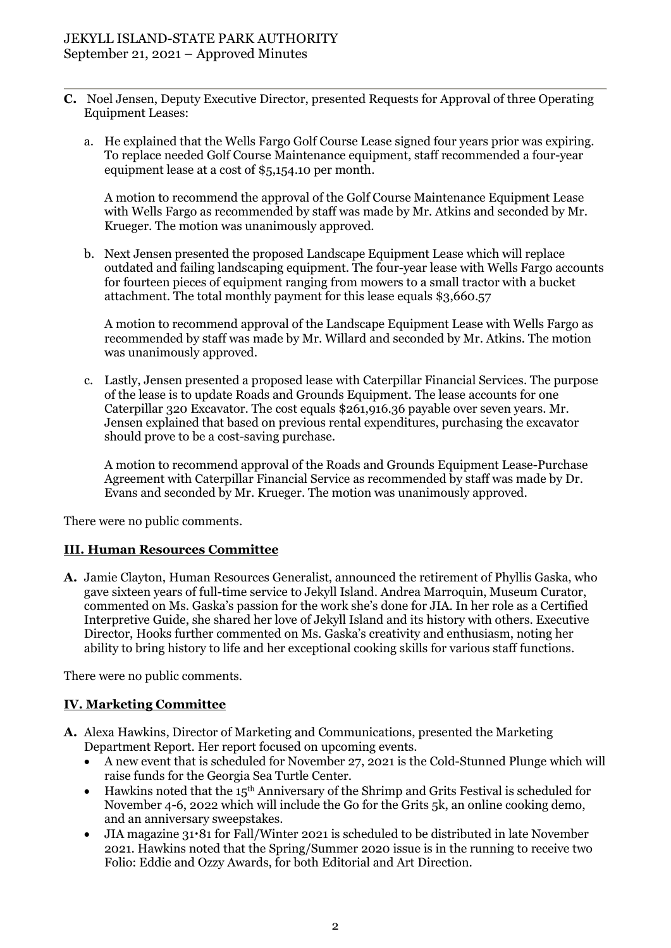- **C.** Noel Jensen, Deputy Executive Director, presented Requests for Approval of three Operating Equipment Leases:
	- a. He explained that the Wells Fargo Golf Course Lease signed four years prior was expiring. To replace needed Golf Course Maintenance equipment, staff recommended a four-year equipment lease at a cost of \$5,154.10 per month.

A motion to recommend the approval of the Golf Course Maintenance Equipment Lease with Wells Fargo as recommended by staff was made by Mr. Atkins and seconded by Mr. Krueger. The motion was unanimously approved.

b. Next Jensen presented the proposed Landscape Equipment Lease which will replace outdated and failing landscaping equipment. The four-year lease with Wells Fargo accounts for fourteen pieces of equipment ranging from mowers to a small tractor with a bucket attachment. The total monthly payment for this lease equals \$3,660.57

A motion to recommend approval of the Landscape Equipment Lease with Wells Fargo as recommended by staff was made by Mr. Willard and seconded by Mr. Atkins. The motion was unanimously approved.

c. Lastly, Jensen presented a proposed lease with Caterpillar Financial Services. The purpose of the lease is to update Roads and Grounds Equipment. The lease accounts for one Caterpillar 320 Excavator. The cost equals \$261,916.36 payable over seven years. Mr. Jensen explained that based on previous rental expenditures, purchasing the excavator should prove to be a cost-saving purchase.

A motion to recommend approval of the Roads and Grounds Equipment Lease-Purchase Agreement with Caterpillar Financial Service as recommended by staff was made by Dr. Evans and seconded by Mr. Krueger. The motion was unanimously approved.

There were no public comments.

#### **III. Human Resources Committee**

**A.** Jamie Clayton, Human Resources Generalist, announced the retirement of Phyllis Gaska, who gave sixteen years of full-time service to Jekyll Island. Andrea Marroquin, Museum Curator, commented on Ms. Gaska's passion for the work she's done for JIA. In her role as a Certified Interpretive Guide, she shared her love of Jekyll Island and its history with others. Executive Director, Hooks further commented on Ms. Gaska's creativity and enthusiasm, noting her ability to bring history to life and her exceptional cooking skills for various staff functions.

There were no public comments.

## **IV. Marketing Committee**

- **A.** Alexa Hawkins, Director of Marketing and Communications, presented the Marketing Department Report. Her report focused on upcoming events.
	- A new event that is scheduled for November 27, 2021 is the Cold-Stunned Plunge which will raise funds for the Georgia Sea Turtle Center.
	- Hawkins noted that the  $15<sup>th</sup>$  Anniversary of the Shrimp and Grits Festival is scheduled for November 4-6, 2022 which will include the Go for the Grits 5k, an online cooking demo, and an anniversary sweepstakes.
	- JIA magazine 31.81 for Fall/Winter 2021 is scheduled to be distributed in late November 2021. Hawkins noted that the Spring/Summer 2020 issue is in the running to receive two Folio: Eddie and Ozzy Awards, for both Editorial and Art Direction.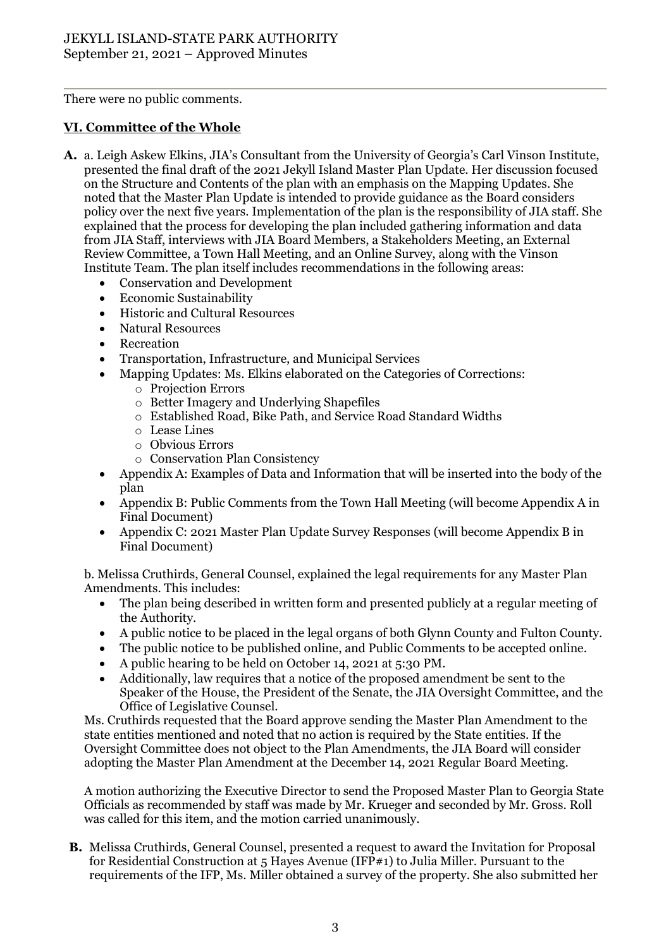There were no public comments.

# **VI. Committee of the Whole**

- **A.** a. Leigh Askew Elkins, JIA's Consultant from the University of Georgia's Carl Vinson Institute, presented the final draft of the 2021 Jekyll Island Master Plan Update. Her discussion focused on the Structure and Contents of the plan with an emphasis on the Mapping Updates. She noted that the Master Plan Update is intended to provide guidance as the Board considers policy over the next five years. Implementation of the plan is the responsibility of JIA staff. She explained that the process for developing the plan included gathering information and data from JIA Staff, interviews with JIA Board Members, a Stakeholders Meeting, an External Review Committee, a Town Hall Meeting, and an Online Survey, along with the Vinson Institute Team. The plan itself includes recommendations in the following areas:
	- Conservation and Development
	- Economic Sustainability
	- Historic and Cultural Resources
	- Natural Resources
	- Recreation
	- Transportation, Infrastructure, and Municipal Services
	- Mapping Updates: Ms. Elkins elaborated on the Categories of Corrections:
		- o Projection Errors
			- o Better Imagery and Underlying Shapefiles
			- o Established Road, Bike Path, and Service Road Standard Widths
			- o Lease Lines
			- o Obvious Errors
			- o Conservation Plan Consistency
	- Appendix A: Examples of Data and Information that will be inserted into the body of the plan
	- Appendix B: Public Comments from the Town Hall Meeting (will become Appendix A in Final Document)
	- Appendix C: 2021 Master Plan Update Survey Responses (will become Appendix B in Final Document)

b. Melissa Cruthirds, General Counsel, explained the legal requirements for any Master Plan Amendments. This includes:

- The plan being described in written form and presented publicly at a regular meeting of the Authority.
- A public notice to be placed in the legal organs of both Glynn County and Fulton County.
- The public notice to be published online, and Public Comments to be accepted online.
- A public hearing to be held on October 14, 2021 at 5:30 PM.
- Additionally, law requires that a notice of the proposed amendment be sent to the Speaker of the House, the President of the Senate, the JIA Oversight Committee, and the Office of Legislative Counsel.

Ms. Cruthirds requested that the Board approve sending the Master Plan Amendment to the state entities mentioned and noted that no action is required by the State entities. If the Oversight Committee does not object to the Plan Amendments, the JIA Board will consider adopting the Master Plan Amendment at the December 14, 2021 Regular Board Meeting.

A motion authorizing the Executive Director to send the Proposed Master Plan to Georgia State Officials as recommended by staff was made by Mr. Krueger and seconded by Mr. Gross. Roll was called for this item, and the motion carried unanimously.

**B.** Melissa Cruthirds, General Counsel, presented a request to award the Invitation for Proposal for Residential Construction at 5 Hayes Avenue (IFP#1) to Julia Miller. Pursuant to the requirements of the IFP, Ms. Miller obtained a survey of the property. She also submitted her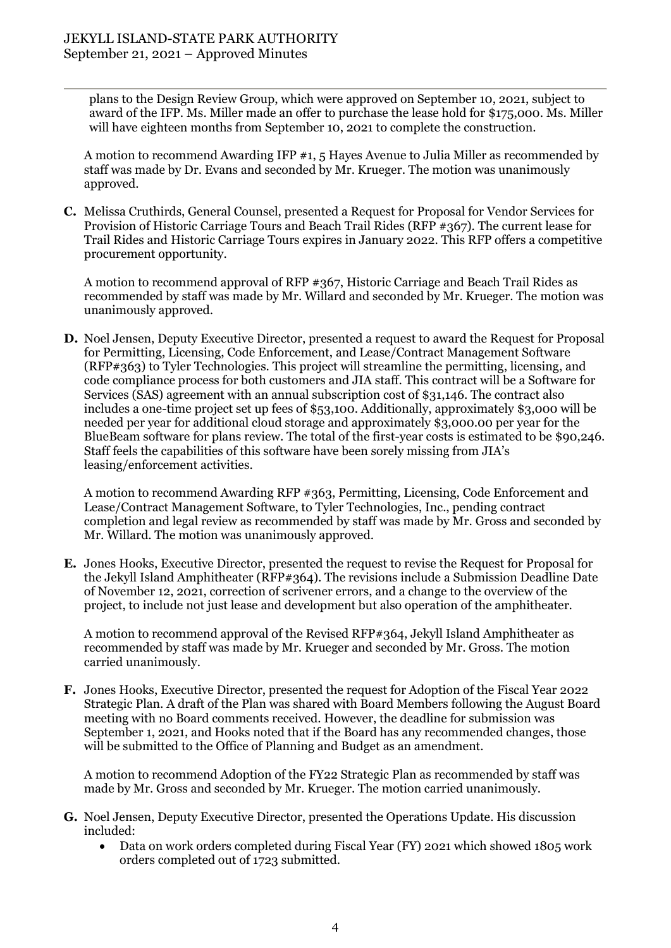plans to the Design Review Group, which were approved on September 10, 2021, subject to award of the IFP. Ms. Miller made an offer to purchase the lease hold for \$175,000. Ms. Miller will have eighteen months from September 10, 2021 to complete the construction.

A motion to recommend Awarding IFP #1, 5 Hayes Avenue to Julia Miller as recommended by staff was made by Dr. Evans and seconded by Mr. Krueger. The motion was unanimously approved.

**C.** Melissa Cruthirds, General Counsel, presented a Request for Proposal for Vendor Services for Provision of Historic Carriage Tours and Beach Trail Rides (RFP #367). The current lease for Trail Rides and Historic Carriage Tours expires in January 2022. This RFP offers a competitive procurement opportunity.

A motion to recommend approval of RFP #367, Historic Carriage and Beach Trail Rides as recommended by staff was made by Mr. Willard and seconded by Mr. Krueger. The motion was unanimously approved.

**D.** Noel Jensen, Deputy Executive Director, presented a request to award the Request for Proposal for Permitting, Licensing, Code Enforcement, and Lease/Contract Management Software (RFP#363) to Tyler Technologies. This project will streamline the permitting, licensing, and code compliance process for both customers and JIA staff. This contract will be a Software for Services (SAS) agreement with an annual subscription cost of \$31,146. The contract also includes a one-time project set up fees of \$53,100. Additionally, approximately \$3,000 will be needed per year for additional cloud storage and approximately \$3,000.00 per year for the BlueBeam software for plans review. The total of the first-year costs is estimated to be \$90,246. Staff feels the capabilities of this software have been sorely missing from JIA's leasing/enforcement activities.

A motion to recommend Awarding RFP #363, Permitting, Licensing, Code Enforcement and Lease/Contract Management Software, to Tyler Technologies, Inc., pending contract completion and legal review as recommended by staff was made by Mr. Gross and seconded by Mr. Willard. The motion was unanimously approved.

**E.** Jones Hooks, Executive Director, presented the request to revise the Request for Proposal for the Jekyll Island Amphitheater (RFP#364). The revisions include a Submission Deadline Date of November 12, 2021, correction of scrivener errors, and a change to the overview of the project, to include not just lease and development but also operation of the amphitheater.

A motion to recommend approval of the Revised RFP#364, Jekyll Island Amphitheater as recommended by staff was made by Mr. Krueger and seconded by Mr. Gross. The motion carried unanimously.

**F.** Jones Hooks, Executive Director, presented the request for Adoption of the Fiscal Year 2022 Strategic Plan. A draft of the Plan was shared with Board Members following the August Board meeting with no Board comments received. However, the deadline for submission was September 1, 2021, and Hooks noted that if the Board has any recommended changes, those will be submitted to the Office of Planning and Budget as an amendment.

A motion to recommend Adoption of the FY22 Strategic Plan as recommended by staff was made by Mr. Gross and seconded by Mr. Krueger. The motion carried unanimously.

- **G.** Noel Jensen, Deputy Executive Director, presented the Operations Update. His discussion included:
	- Data on work orders completed during Fiscal Year (FY) 2021 which showed 1805 work orders completed out of 1723 submitted.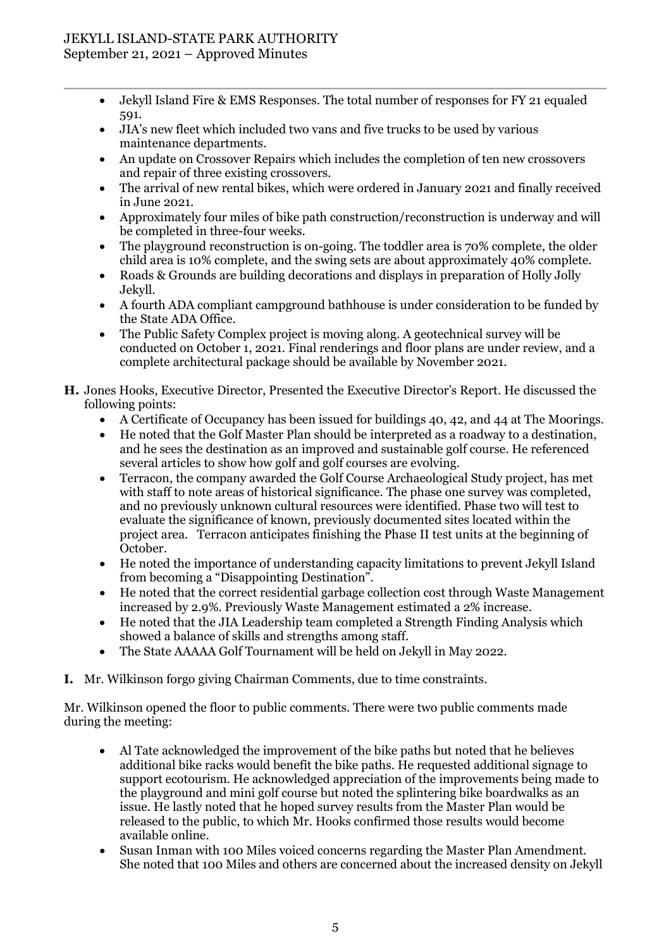## JEKYLL ISLAND-STATE PARK AUTHORITY September 21, 2021 – Approved Minutes

- Jekyll Island Fire & EMS Responses. The total number of responses for FY 21 equaled 591.
- JIA's new fleet which included two vans and five trucks to be used by various maintenance departments.
- An update on Crossover Repairs which includes the completion of ten new crossovers and repair of three existing crossovers.
- The arrival of new rental bikes, which were ordered in January 2021 and finally received in June 2021.
- Approximately four miles of bike path construction/reconstruction is underway and will be completed in three-four weeks.
- The playground reconstruction is on-going. The toddler area is 70% complete, the older child area is 10% complete, and the swing sets are about approximately 40% complete.
- Roads & Grounds are building decorations and displays in preparation of Holly Jolly Jekyll.
- A fourth ADA compliant campground bathhouse is under consideration to be funded by the State ADA Office.
- The Public Safety Complex project is moving along. A geotechnical survey will be conducted on October 1, 2021. Final renderings and floor plans are under review, and a complete architectural package should be available by November 2021.
- **H.** Jones Hooks, Executive Director, Presented the Executive Director's Report. He discussed the following points:
	- A Certificate of Occupancy has been issued for buildings 40, 42, and 44 at The Moorings.
	- He noted that the Golf Master Plan should be interpreted as a roadway to a destination, and he sees the destination as an improved and sustainable golf course. He referenced several articles to show how golf and golf courses are evolving.
	- Terracon, the company awarded the Golf Course Archaeological Study project, has met with staff to note areas of historical significance. The phase one survey was completed, and no previously unknown cultural resources were identified. Phase two will test to evaluate the significance of known, previously documented sites located within the project area. Terracon anticipates finishing the Phase II test units at the beginning of October.
	- He noted the importance of understanding capacity limitations to prevent Jekyll Island from becoming a "Disappointing Destination".
	- He noted that the correct residential garbage collection cost through Waste Management increased by 2.9%. Previously Waste Management estimated a 2% increase.
	- He noted that the JIA Leadership team completed a Strength Finding Analysis which showed a balance of skills and strengths among staff.
	- The State AAAAA Golf Tournament will be held on Jekyll in May 2022.
- **I.** Mr. Wilkinson forgo giving Chairman Comments, due to time constraints.

Mr. Wilkinson opened the floor to public comments. There were two public comments made during the meeting:

- Al Tate acknowledged the improvement of the bike paths but noted that he believes additional bike racks would benefit the bike paths. He requested additional signage to support ecotourism. He acknowledged appreciation of the improvements being made to the playground and mini golf course but noted the splintering bike boardwalks as an issue. He lastly noted that he hoped survey results from the Master Plan would be released to the public, to which Mr. Hooks confirmed those results would become available online.
- Susan Inman with 100 Miles voiced concerns regarding the Master Plan Amendment. She noted that 100 Miles and others are concerned about the increased density on Jekyll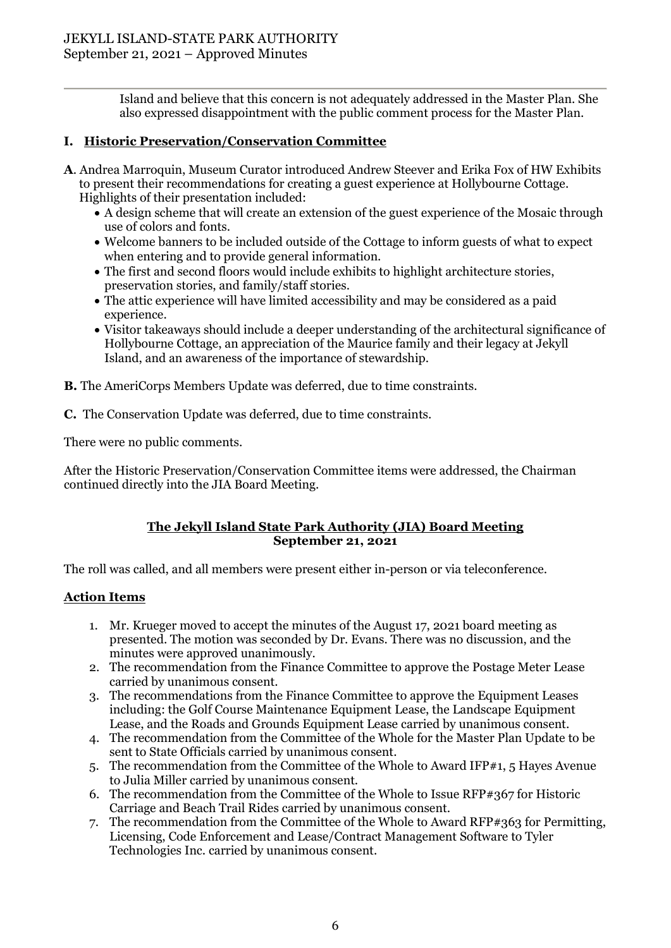Island and believe that this concern is not adequately addressed in the Master Plan. She also expressed disappointment with the public comment process for the Master Plan.

## **I. Historic Preservation/Conservation Committee**

- **A**. Andrea Marroquin, Museum Curator introduced Andrew Steever and Erika Fox of HW Exhibits to present their recommendations for creating a guest experience at Hollybourne Cottage. Highlights of their presentation included:
	- A design scheme that will create an extension of the guest experience of the Mosaic through use of colors and fonts.
	- Welcome banners to be included outside of the Cottage to inform guests of what to expect when entering and to provide general information.
	- The first and second floors would include exhibits to highlight architecture stories, preservation stories, and family/staff stories.
	- The attic experience will have limited accessibility and may be considered as a paid experience.
	- Visitor takeaways should include a deeper understanding of the architectural significance of Hollybourne Cottage, an appreciation of the Maurice family and their legacy at Jekyll Island, and an awareness of the importance of stewardship.
- **B.** The AmeriCorps Members Update was deferred, due to time constraints.
- **C.** The Conservation Update was deferred, due to time constraints.

There were no public comments.

After the Historic Preservation/Conservation Committee items were addressed, the Chairman continued directly into the JIA Board Meeting.

## **The Jekyll Island State Park Authority (JIA) Board Meeting September 21, 2021**

The roll was called, and all members were present either in-person or via teleconference.

#### **Action Items**

- 1. Mr. Krueger moved to accept the minutes of the August 17, 2021 board meeting as presented. The motion was seconded by Dr. Evans. There was no discussion, and the minutes were approved unanimously.
- 2. The recommendation from the Finance Committee to approve the Postage Meter Lease carried by unanimous consent.
- 3. The recommendations from the Finance Committee to approve the Equipment Leases including: the Golf Course Maintenance Equipment Lease, the Landscape Equipment Lease, and the Roads and Grounds Equipment Lease carried by unanimous consent.
- 4. The recommendation from the Committee of the Whole for the Master Plan Update to be sent to State Officials carried by unanimous consent.
- 5. The recommendation from the Committee of the Whole to Award IFP#1, 5 Hayes Avenue to Julia Miller carried by unanimous consent.
- 6. The recommendation from the Committee of the Whole to Issue RFP#367 for Historic Carriage and Beach Trail Rides carried by unanimous consent.
- 7. The recommendation from the Committee of the Whole to Award RFP#363 for Permitting, Licensing, Code Enforcement and Lease/Contract Management Software to Tyler Technologies Inc. carried by unanimous consent.